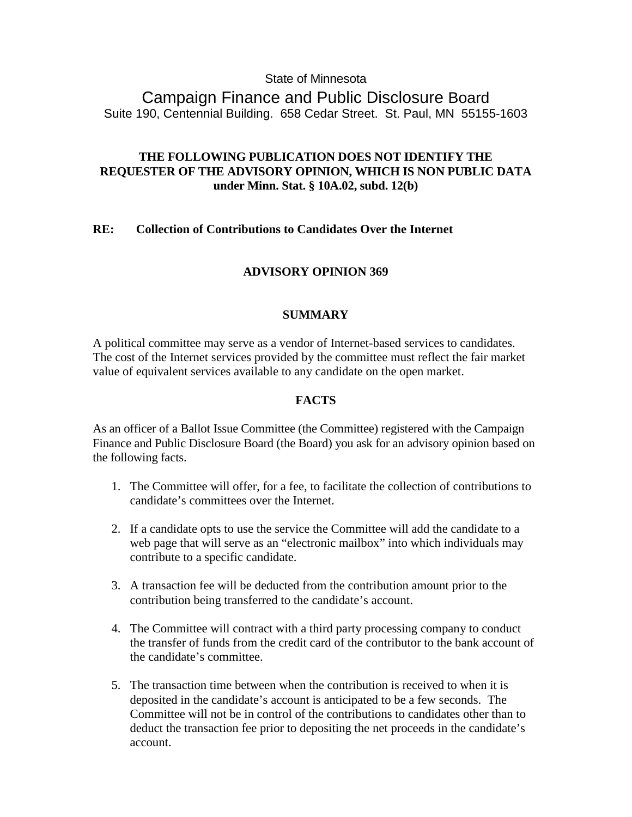### State of Minnesota

Campaign Finance and Public Disclosure Board Suite 190, Centennial Building. 658 Cedar Street. St. Paul, MN 55155-1603

# **THE FOLLOWING PUBLICATION DOES NOT IDENTIFY THE REQUESTER OF THE ADVISORY OPINION, WHICH IS NON PUBLIC DATA under Minn. Stat. § 10A.02, subd. 12(b)**

### **RE: Collection of Contributions to Candidates Over the Internet**

## **ADVISORY OPINION 369**

### **SUMMARY**

A political committee may serve as a vendor of Internet-based services to candidates. The cost of the Internet services provided by the committee must reflect the fair market value of equivalent services available to any candidate on the open market.

### **FACTS**

As an officer of a Ballot Issue Committee (the Committee) registered with the Campaign Finance and Public Disclosure Board (the Board) you ask for an advisory opinion based on the following facts.

- 1. The Committee will offer, for a fee, to facilitate the collection of contributions to candidate's committees over the Internet.
- 2. If a candidate opts to use the service the Committee will add the candidate to a web page that will serve as an "electronic mailbox" into which individuals may contribute to a specific candidate.
- 3. A transaction fee will be deducted from the contribution amount prior to the contribution being transferred to the candidate's account.
- 4. The Committee will contract with a third party processing company to conduct the transfer of funds from the credit card of the contributor to the bank account of the candidate's committee.
- 5. The transaction time between when the contribution is received to when it is deposited in the candidate's account is anticipated to be a few seconds. The Committee will not be in control of the contributions to candidates other than to deduct the transaction fee prior to depositing the net proceeds in the candidate's account.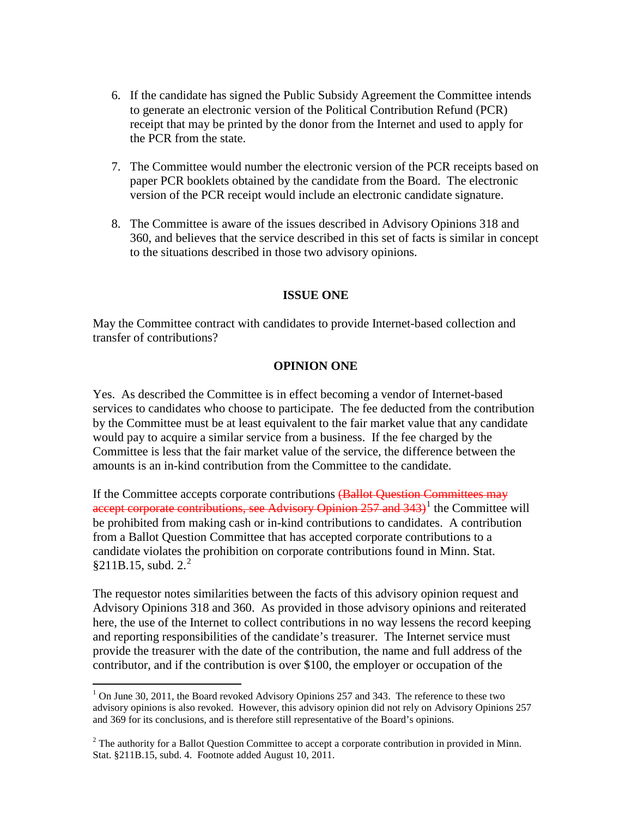- 6. If the candidate has signed the Public Subsidy Agreement the Committee intends to generate an electronic version of the Political Contribution Refund (PCR) receipt that may be printed by the donor from the Internet and used to apply for the PCR from the state.
- 7. The Committee would number the electronic version of the PCR receipts based on paper PCR booklets obtained by the candidate from the Board. The electronic version of the PCR receipt would include an electronic candidate signature.
- 8. The Committee is aware of the issues described in Advisory Opinions 318 and 360, and believes that the service described in this set of facts is similar in concept to the situations described in those two advisory opinions.

### **ISSUE ONE**

May the Committee contract with candidates to provide Internet-based collection and transfer of contributions?

#### **OPINION ONE**

Yes. As described the Committee is in effect becoming a vendor of Internet-based services to candidates who choose to participate. The fee deducted from the contribution by the Committee must be at least equivalent to the fair market value that any candidate would pay to acquire a similar service from a business. If the fee charged by the Committee is less that the fair market value of the service, the difference between the amounts is an in-kind contribution from the Committee to the candidate.

If the Committee accepts corporate contributions (Ballot Question Committees may accept corporate contributions, see Advisory Opinion  $257$  and  $343$ <sup> $1$ </sup> the Committee will be prohibited from making cash or in-kind contributions to candidates. A contribution from a Ballot Question Committee that has accepted corporate contributions to a candidate violates the prohibition on corporate contributions found in Minn. Stat.  $§211B.15$  $§211B.15$  $§211B.15$ , subd.  $2.^2$ 

The requestor notes similarities between the facts of this advisory opinion request and Advisory Opinions 318 and 360. As provided in those advisory opinions and reiterated here, the use of the Internet to collect contributions in no way lessens the record keeping and reporting responsibilities of the candidate's treasurer. The Internet service must provide the treasurer with the date of the contribution, the name and full address of the contributor, and if the contribution is over \$100, the employer or occupation of the

<span id="page-1-0"></span> $1$  On June 30, 2011, the Board revoked Advisory Opinions 257 and 343. The reference to these two advisory opinions is also revoked. However, this advisory opinion did not rely on Advisory Opinions 257 and 369 for its conclusions, and is therefore still representative of the Board's opinions.

<span id="page-1-1"></span> $<sup>2</sup>$  The authority for a Ballot Question Committee to accept a corporate contribution in provided in Minn.</sup> Stat. §211B.15, subd. 4. Footnote added August 10, 2011.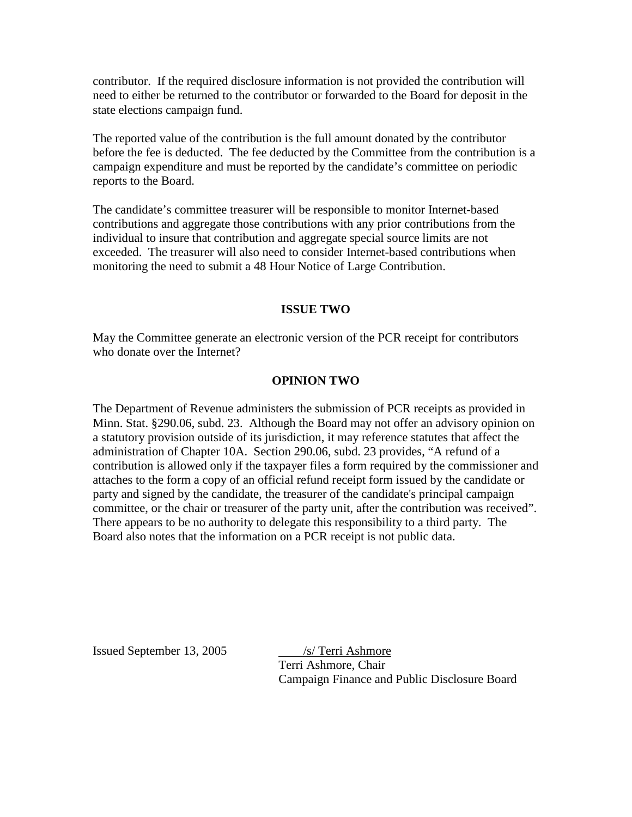contributor. If the required disclosure information is not provided the contribution will need to either be returned to the contributor or forwarded to the Board for deposit in the state elections campaign fund.

The reported value of the contribution is the full amount donated by the contributor before the fee is deducted. The fee deducted by the Committee from the contribution is a campaign expenditure and must be reported by the candidate's committee on periodic reports to the Board.

The candidate's committee treasurer will be responsible to monitor Internet-based contributions and aggregate those contributions with any prior contributions from the individual to insure that contribution and aggregate special source limits are not exceeded. The treasurer will also need to consider Internet-based contributions when monitoring the need to submit a 48 Hour Notice of Large Contribution.

### **ISSUE TWO**

May the Committee generate an electronic version of the PCR receipt for contributors who donate over the Internet?

### **OPINION TWO**

The Department of Revenue administers the submission of PCR receipts as provided in Minn. Stat. §290.06, subd. 23. Although the Board may not offer an advisory opinion on a statutory provision outside of its jurisdiction, it may reference statutes that affect the administration of Chapter 10A. Section 290.06, subd. 23 provides, "A refund of a contribution is allowed only if the taxpayer files a form required by the commissioner and attaches to the form a copy of an official refund receipt form issued by the candidate or party and signed by the candidate, the treasurer of the candidate's principal campaign committee, or the chair or treasurer of the party unit, after the contribution was received". There appears to be no authority to delegate this responsibility to a third party. The Board also notes that the information on a PCR receipt is not public data.

Issued September 13, 2005 /s/ Terri Ashmore

Terri Ashmore, Chair Campaign Finance and Public Disclosure Board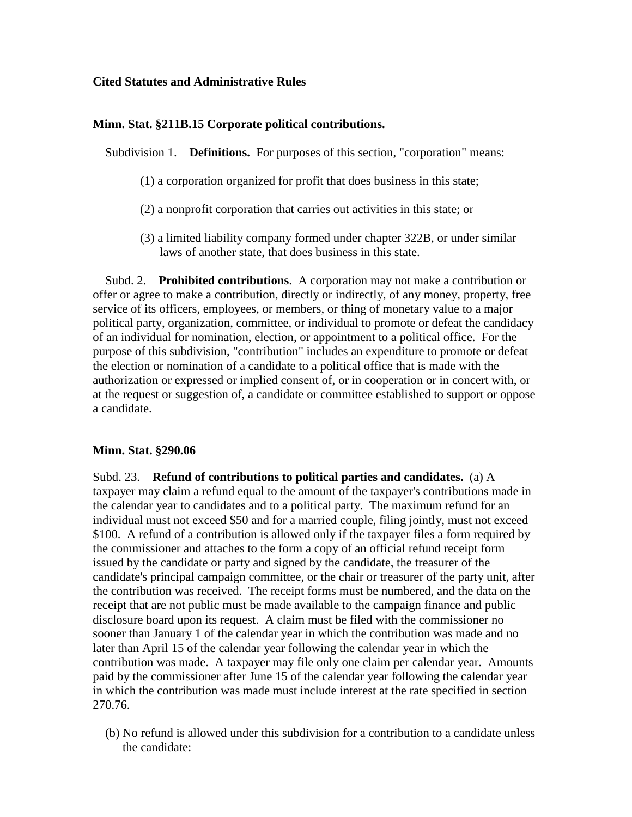#### **Cited Statutes and Administrative Rules**

#### **Minn. Stat. §211B.15 Corporate political contributions.**

Subdivision 1. **Definitions.** For purposes of this section, "corporation" means:

- (1) a corporation organized for profit that does business in this state;
- (2) a nonprofit corporation that carries out activities in this state; or
- (3) a limited liability company formed under chapter 322B, or under similar laws of another state, that does business in this state.

 Subd. 2. **Prohibited contributions**. A corporation may not make a contribution or offer or agree to make a contribution, directly or indirectly, of any money, property, free service of its officers, employees, or members, or thing of monetary value to a major political party, organization, committee, or individual to promote or defeat the candidacy of an individual for nomination, election, or appointment to a political office. For the purpose of this subdivision, "contribution" includes an expenditure to promote or defeat the election or nomination of a candidate to a political office that is made with the authorization or expressed or implied consent of, or in cooperation or in concert with, or at the request or suggestion of, a candidate or committee established to support or oppose a candidate.

#### **Minn. Stat. §290.06**

Subd. 23. **Refund of contributions to political parties and candidates.** (a) A taxpayer may claim a refund equal to the amount of the taxpayer's contributions made in the calendar year to candidates and to a political party. The maximum refund for an individual must not exceed \$50 and for a married couple, filing jointly, must not exceed \$100. A refund of a contribution is allowed only if the taxpayer files a form required by the commissioner and attaches to the form a copy of an official refund receipt form issued by the candidate or party and signed by the candidate, the treasurer of the candidate's principal campaign committee, or the chair or treasurer of the party unit, after the contribution was received. The receipt forms must be numbered, and the data on the receipt that are not public must be made available to the campaign finance and public disclosure board upon its request. A claim must be filed with the commissioner no sooner than January 1 of the calendar year in which the contribution was made and no later than April 15 of the calendar year following the calendar year in which the contribution was made. A taxpayer may file only one claim per calendar year. Amounts paid by the commissioner after June 15 of the calendar year following the calendar year in which the contribution was made must include interest at the rate specified in section 270.76.

 (b) No refund is allowed under this subdivision for a contribution to a candidate unless the candidate: